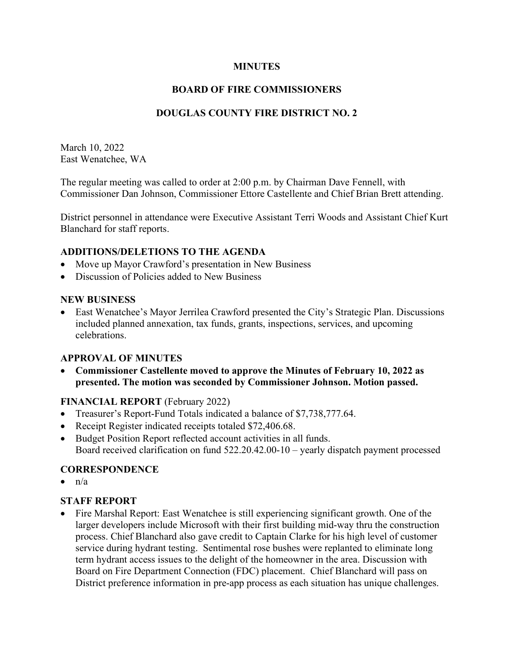### MINUTES

# BOARD OF FIRE COMMISSIONERS

# DOUGLAS COUNTY FIRE DISTRICT NO. 2

March 10, 2022 East Wenatchee, WA

The regular meeting was called to order at 2:00 p.m. by Chairman Dave Fennell, with Commissioner Dan Johnson, Commissioner Ettore Castellente and Chief Brian Brett attending.

District personnel in attendance were Executive Assistant Terri Woods and Assistant Chief Kurt Blanchard for staff reports.

### ADDITIONS/DELETIONS TO THE AGENDA

- Move up Mayor Crawford's presentation in New Business
- Discussion of Policies added to New Business

### NEW BUSINESS

 East Wenatchee's Mayor Jerrilea Crawford presented the City's Strategic Plan. Discussions included planned annexation, tax funds, grants, inspections, services, and upcoming celebrations.

## APPROVAL OF MINUTES

 Commissioner Castellente moved to approve the Minutes of February 10, 2022 as presented. The motion was seconded by Commissioner Johnson. Motion passed.

## FINANCIAL REPORT (February 2022)

- Treasurer's Report-Fund Totals indicated a balance of \$7,738,777.64.
- Receipt Register indicated receipts totaled \$72,406.68.
- Budget Position Report reflected account activities in all funds. Board received clarification on fund 522.20.42.00-10 – yearly dispatch payment processed

## **CORRESPONDENCE**

 $\bullet$   $n/a$ 

## STAFF REPORT

 Fire Marshal Report: East Wenatchee is still experiencing significant growth. One of the larger developers include Microsoft with their first building mid-way thru the construction process. Chief Blanchard also gave credit to Captain Clarke for his high level of customer service during hydrant testing. Sentimental rose bushes were replanted to eliminate long term hydrant access issues to the delight of the homeowner in the area. Discussion with Board on Fire Department Connection (FDC) placement. Chief Blanchard will pass on District preference information in pre-app process as each situation has unique challenges.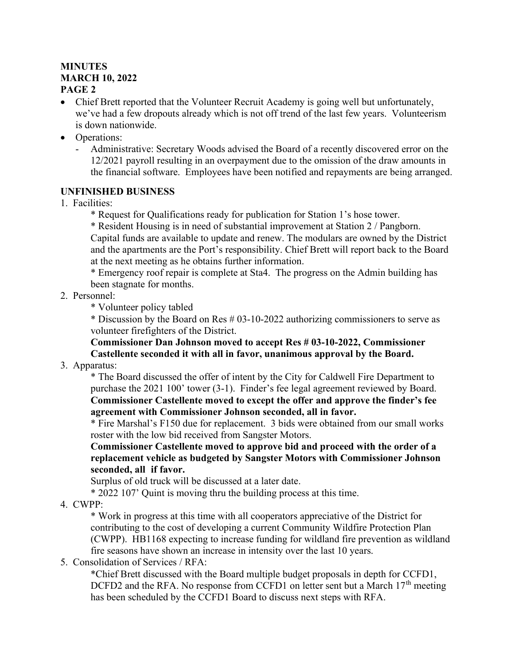### **MINUTES** MARCH 10, 2022 PAGE 2

- Chief Brett reported that the Volunteer Recruit Academy is going well but unfortunately, we've had a few dropouts already which is not off trend of the last few years. Volunteerism is down nationwide.
- Operations:
	- Administrative: Secretary Woods advised the Board of a recently discovered error on the 12/2021 payroll resulting in an overpayment due to the omission of the draw amounts in the financial software. Employees have been notified and repayments are being arranged.

## UNFINISHED BUSINESS

- 1. Facilities:
	- \* Request for Qualifications ready for publication for Station 1's hose tower.
	- \* Resident Housing is in need of substantial improvement at Station 2 / Pangborn. Capital funds are available to update and renew. The modulars are owned by the District

 and the apartments are the Port's responsibility. Chief Brett will report back to the Board at the next meeting as he obtains further information.

 \* Emergency roof repair is complete at Sta4. The progress on the Admin building has been stagnate for months.

- 2. Personnel:
	- \* Volunteer policy tabled

 \* Discussion by the Board on Res # 03-10-2022 authorizing commissioners to serve as volunteer firefighters of the District.

Commissioner Dan Johnson moved to accept Res # 03-10-2022, Commissioner Castellente seconded it with all in favor, unanimous approval by the Board.

3. Apparatus:

 \* The Board discussed the offer of intent by the City for Caldwell Fire Department to purchase the 2021 100' tower (3-1). Finder's fee legal agreement reviewed by Board. Commissioner Castellente moved to except the offer and approve the finder's fee agreement with Commissioner Johnson seconded, all in favor.

 \* Fire Marshal's F150 due for replacement. 3 bids were obtained from our small works roster with the low bid received from Sangster Motors.

Commissioner Castellente moved to approve bid and proceed with the order of a replacement vehicle as budgeted by Sangster Motors with Commissioner Johnson seconded, all if favor.

Surplus of old truck will be discussed at a later date.

\* 2022 107' Quint is moving thru the building process at this time.

4. CWPP:

 \* Work in progress at this time with all cooperators appreciative of the District for contributing to the cost of developing a current Community Wildfire Protection Plan (CWPP). HB1168 expecting to increase funding for wildland fire prevention as wildland fire seasons have shown an increase in intensity over the last 10 years.

5. Consolidation of Services / RFA:

 \*Chief Brett discussed with the Board multiple budget proposals in depth for CCFD1, DCFD2 and the RFA. No response from CCFD1 on letter sent but a March  $17<sup>th</sup>$  meeting has been scheduled by the CCFD1 Board to discuss next steps with RFA.